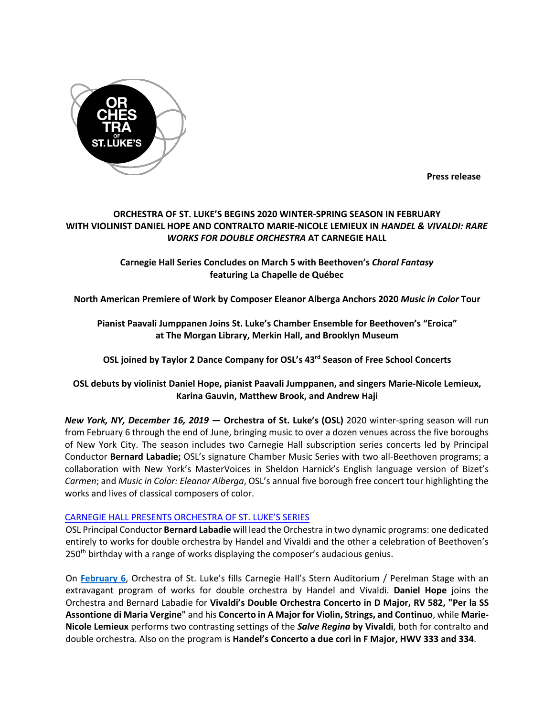

**Press release**

# **ORCHESTRA OF ST. LUKE'S BEGINS 2020 WINTER-SPRING SEASON IN FEBRUARY WITH VIOLINIST DANIEL HOPE AND CONTRALTO MARIE-NICOLE LEMIEUX IN** *HANDEL & VIVALDI: RARE WORKS FOR DOUBLE ORCHESTRA* **AT CARNEGIE HALL**

# **Carnegie Hall Series Concludes on March 5 with Beethoven's** *Choral Fantasy* **featuring La Chapelle de Québec**

**North American Premiere of Work by Composer Eleanor Alberga Anchors 2020** *Music in Color* **Tour**

# **Pianist Paavali Jumppanen Joins St. Luke's Chamber Ensemble for Beethoven's "Eroica" at The Morgan Library, Merkin Hall, and Brooklyn Museum**

**OSL joined by Taylor 2 Dance Company for OSL's 43rd Season of Free School Concerts**

# **OSL debuts by violinist Daniel Hope, pianist Paavali Jumppanen, and singers Marie-Nicole Lemieux, Karina Gauvin, Matthew Brook, and Andrew Haji**

*New York, NY, December 16, 2019* **— Orchestra of St. Luke's (OSL)** 2020 winter-spring season will run from February 6 through the end of June, bringing music to over a dozen venues across the five boroughs of New York City. The season includes two Carnegie Hall subscription series concerts led by Principal Conductor **Bernard Labadie;** OSL's signature Chamber Music Series with two all-Beethoven programs; a collaboration with New York's MasterVoices in Sheldon Harnick's English language version of Bizet's *Carmen*; and *Music in Color: Eleanor Alberga*, OSL's annual five borough free concert tour highlighting the works and lives of classical composers of color.

## CARNEGIE HALL PRESENTS ORCHESTRA OF ST. LUKE'S SERIES

OSL Principal Conductor **Bernard Labadie** will lead the Orchestra in two dynamic programs: one dedicated entirely to works for double orchestra by Handel and Vivaldi and the other a celebration of Beethoven's 250th birthday with a range of works displaying the composer's audacious genius.

On **February 6**, Orchestra of St. Luke's fills Carnegie Hall's Stern Auditorium / Perelman Stage with an extravagant program of works for double orchestra by Handel and Vivaldi. **Daniel Hope** joins the Orchestra and Bernard Labadie for **Vivaldi's Double Orchestra Concerto in D Major, RV 582, "Per la SS Assontione di Maria Vergine"** and his **Concerto in A Major for Violin, Strings, and Continuo**, while **Marie-Nicole Lemieux** performs two contrasting settings of the *Salve Regina* **by Vivaldi**, both for contralto and double orchestra. Also on the program is **Handel's Concerto a due cori in F Major, HWV 333 and 334**.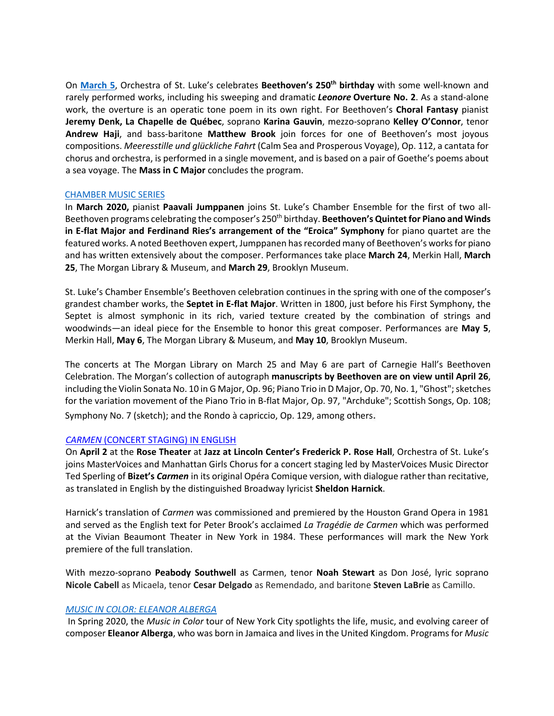On **March 5**, Orchestra of St. Luke's celebrates **Beethoven's 250th birthday** with some well-known and rarely performed works, including his sweeping and dramatic *Leonore* **Overture No. 2**. As a stand-alone work, the overture is an operatic tone poem in its own right. For Beethoven's **Choral Fantasy** pianist **Jeremy Denk, La Chapelle de Québec**, soprano **Karina Gauvin**, mezzo-soprano **Kelley O'Connor**, tenor **Andrew Haji**, and bass-baritone **Matthew Brook** join forces for one of Beethoven's most joyous compositions. *Meeresstille und glückliche Fahrt* (Calm Sea and Prosperous Voyage), Op. 112, a cantata for chorus and orchestra, is performed in a single movement, and is based on a pair of Goethe's poems about a sea voyage. The **Mass in C Major** concludes the program.

#### CHAMBER MUSIC SERIES

In **March 2020,** pianist **Paavali Jumppanen** joins St. Luke's Chamber Ensemble for the first of two all-Beethoven programs celebrating the composer's 250<sup>th</sup> birthday. Beethoven's Quintet for Piano and Winds **in E-flat Major and Ferdinand Ries's arrangement of the "Eroica" Symphony** for piano quartet are the featured works. A noted Beethoven expert, Jumppanen has recorded many of Beethoven's works for piano and has written extensively about the composer. Performances take place **March 24**, Merkin Hall, **March 25**, The Morgan Library & Museum, and **March 29**, Brooklyn Museum.

St. Luke's Chamber Ensemble's Beethoven celebration continues in the spring with one of the composer's grandest chamber works, the **Septet in E-flat Major**. Written in 1800, just before his First Symphony, the Septet is almost symphonic in its rich, varied texture created by the combination of strings and woodwinds—an ideal piece for the Ensemble to honor this great composer. Performances are **May 5**, Merkin Hall, **May 6**, The Morgan Library & Museum, and **May 10**, Brooklyn Museum.

The concerts at The Morgan Library on March 25 and May 6 are part of Carnegie Hall's Beethoven Celebration. The Morgan's collection of autograph **manuscripts by Beethoven are on view until April 26**, including the Violin Sonata No. 10 in G Major, Op. 96; Piano Trio in D Major, Op. 70, No. 1, "Ghost"; sketches for the variation movement of the Piano Trio in B-flat Major, Op. 97, "Archduke"; Scottish Songs, Op. 108; Symphony No. 7 (sketch); and the Rondo à capriccio, Op. 129, among others.

## *CARMEN* (CONCERT STAGING) IN ENGLISH

On **April 2** at the **Rose Theater** at **Jazz at Lincoln Center's Frederick P. Rose Hall**, Orchestra of St. Luke's joins MasterVoices and Manhattan Girls Chorus for a concert staging led by MasterVoices Music Director Ted Sperling of **Bizet's** *Carmen* in its original Opéra Comique version, with dialogue rather than recitative, as translated in English by the distinguished Broadway lyricist **Sheldon Harnick**.

Harnick's translation of *Carmen* was commissioned and premiered by the Houston Grand Opera in 1981 and served as the English text for Peter Brook's acclaimed *La Tragédie de Carmen* which was performed at the Vivian Beaumont Theater in New York in 1984. These performances will mark the New York premiere of the full translation.

With mezzo-soprano **Peabody Southwell** as Carmen, tenor **Noah Stewart** as Don José, lyric soprano **Nicole Cabell** as Micaela, tenor **Cesar Delgado** as Remendado, and baritone **Steven LaBrie** as Camillo.

## *MUSIC IN COLOR: ELEANOR ALBERGA*

In Spring 2020, the *Music in Color* tour of New York City spotlights the life, music, and evolving career of composer **Eleanor Alberga**, who was born in Jamaica and lives in the United Kingdom. Programs for *Music*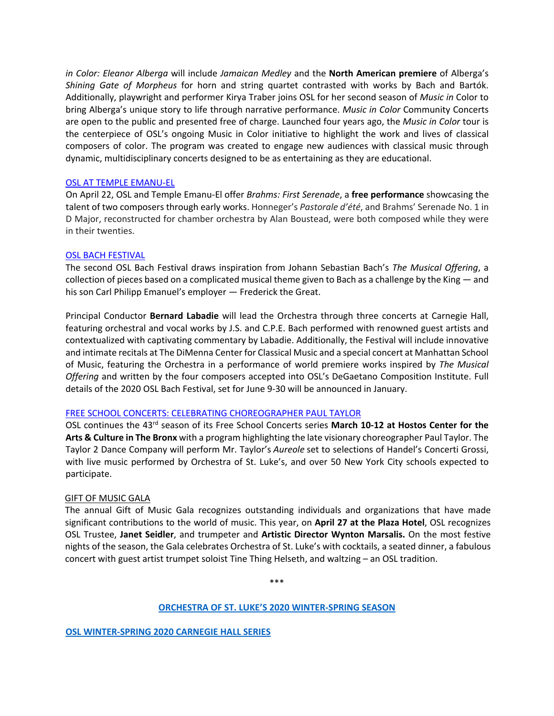*in Color: Eleanor Alberga* will include *Jamaican Medley* and the **North American premiere** of Alberga's *Shining Gate of Morpheus* for horn and string quartet contrasted with works by Bach and Bartók. Additionally, playwright and performer Kirya Traber joins OSL for her second season of *Music in* Color to bring Alberga's unique story to life through narrative performance. *Music in Color* Community Concerts are open to the public and presented free of charge. Launched four years ago, the *Music in Color* tour is the centerpiece of OSL's ongoing Music in Color initiative to highlight the work and lives of classical composers of color. The program was created to engage new audiences with classical music through dynamic, multidisciplinary concerts designed to be as entertaining as they are educational.

### OSL AT TEMPLE EMANU-EL

On April 22, OSL and Temple Emanu-El offer *Brahms: First Serenade*, a **free performance** showcasing the talent of two composers through early works. Honneger's *Pastorale d'été*, and Brahms' Serenade No. 1 in D Major, reconstructed for chamber orchestra by Alan Boustead, were both composed while they were in their twenties.

### OSL BACH FESTIVAL

The second OSL Bach Festival draws inspiration from Johann Sebastian Bach's *The Musical Offering*, a collection of pieces based on a complicated musical theme given to Bach as a challenge by the King — and his son Carl Philipp Emanuel's employer — Frederick the Great.

Principal Conductor **Bernard Labadie** will lead the Orchestra through three concerts at Carnegie Hall, featuring orchestral and vocal works by J.S. and C.P.E. Bach performed with renowned guest artists and contextualized with captivating commentary by Labadie. Additionally, the Festival will include innovative and intimate recitals at The DiMenna Center for Classical Music and a special concert at Manhattan School of Music, featuring the Orchestra in a performance of world premiere works inspired by *The Musical Offering* and written by the four composers accepted into OSL's DeGaetano Composition Institute. Full details of the 2020 OSL Bach Festival, set for June 9-30 will be announced in January.

## FREE SCHOOL CONCERTS: CELEBRATING CHOREOGRAPHER PAUL TAYLOR

OSL continues the 43rd season of its Free School Concerts series **March 10-12 at Hostos Center for the Arts & Culture in The Bronx** with a program highlighting the late visionary choreographer Paul Taylor. The Taylor 2 Dance Company will perform Mr. Taylor's *Aureole* set to selections of Handel's Concerti Grossi, with live music performed by Orchestra of St. Luke's, and over 50 New York City schools expected to participate.

#### GIFT OF MUSIC GALA

The annual Gift of Music Gala recognizes outstanding individuals and organizations that have made significant contributions to the world of music. This year, on **April 27 at the Plaza Hotel**, OSL recognizes OSL Trustee, **Janet Seidler**, and trumpeter and **Artistic Director Wynton Marsalis.** On the most festive nights of the season, the Gala celebrates Orchestra of St. Luke's with cocktails, a seated dinner, a fabulous concert with guest artist trumpet soloist Tine Thing Helseth, and waltzing – an OSL tradition.

\*\*\*

#### **ORCHESTRA OF ST. LUKE'S 2020 WINTER-SPRING SEASON**

**OSL WINTER-SPRING 2020 CARNEGIE HALL SERIES**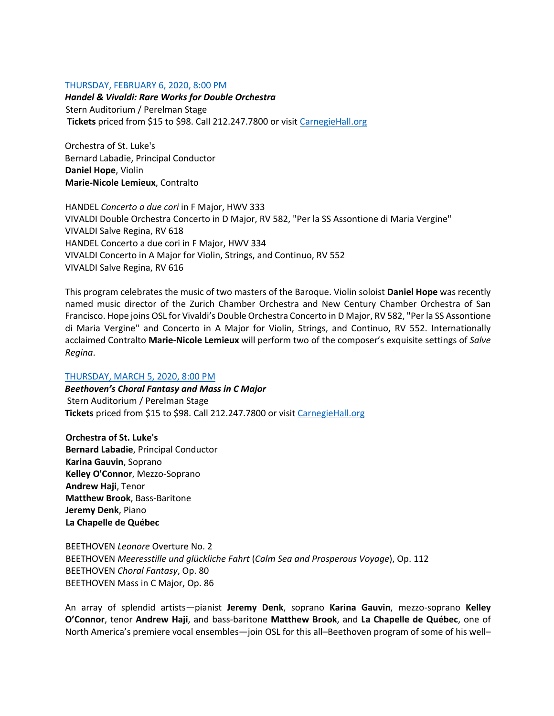### THURSDAY, FEBRUARY 6, 2020, 8:00 PM

*Handel & Vivaldi: Rare Works for Double Orchestra* Stern Auditorium / Perelman Stage **Tickets** priced from \$15 to \$98. Call 212.247.7800 or visit CarnegieHall.org

Orchestra of St. Luke's Bernard Labadie, Principal Conductor **Daniel Hope**, Violin **Marie-Nicole Lemieux**, Contralto

HANDEL *Concerto a due cori* in F Major, HWV 333 VIVALDI Double Orchestra Concerto in D Major, RV 582, "Per la SS Assontione di Maria Vergine" VIVALDI Salve Regina, RV 618 HANDEL Concerto a due cori in F Major, HWV 334 VIVALDI Concerto in A Major for Violin, Strings, and Continuo, RV 552 VIVALDI Salve Regina, RV 616

This program celebrates the music of two masters of the Baroque. Violin soloist **Daniel Hope** was recently named music director of the Zurich Chamber Orchestra and New Century Chamber Orchestra of San Francisco. Hope joins OSL for Vivaldi's Double Orchestra Concerto in D Major, RV 582, "Per la SS Assontione di Maria Vergine" and Concerto in A Major for Violin, Strings, and Continuo, RV 552. Internationally acclaimed Contralto **Marie-Nicole Lemieux** will perform two of the composer's exquisite settings of *Salve Regina*.

## THURSDAY, MARCH 5, 2020, 8:00 PM

*Beethoven's Choral Fantasy and Mass in C Major* Stern Auditorium / Perelman Stage **Tickets** priced from \$15 to \$98. Call 212.247.7800 or visit CarnegieHall.org

**Orchestra of St. Luke's Bernard Labadie**, Principal Conductor **Karina Gauvin**, Soprano **Kelley O'Connor**, Mezzo-Soprano **Andrew Haji**, Tenor **Matthew Brook**, Bass-Baritone **Jeremy Denk**, Piano **La Chapelle de Québec**

BEETHOVEN *Leonore* Overture No. 2 BEETHOVEN *Meeresstille und glückliche Fahrt* (*Calm Sea and Prosperous Voyage*), Op. 112 BEETHOVEN *Choral Fantasy*, Op. 80 BEETHOVEN Mass in C Major, Op. 86

An array of splendid artists—pianist **Jeremy Denk**, soprano **Karina Gauvin**, mezzo-soprano **Kelley O'Connor**, tenor **Andrew Haji**, and bass-baritone **Matthew Brook**, and **La Chapelle de Québec**, one of North America's premiere vocal ensembles—join OSL for this all–Beethoven program of some of his well–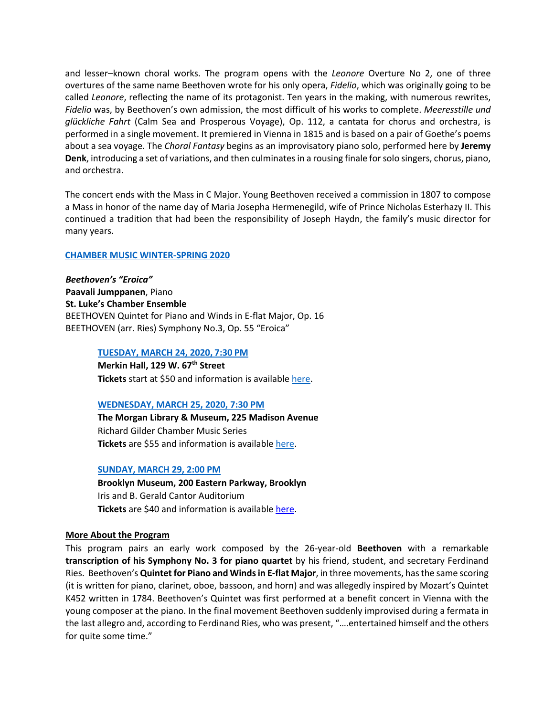and lesser–known choral works. The program opens with the *Leonore* Overture No 2, one of three overtures of the same name Beethoven wrote for his only opera, *Fidelio*, which was originally going to be called *Leonore*, reflecting the name of its protagonist. Ten years in the making, with numerous rewrites, *Fidelio* was, by Beethoven's own admission, the most difficult of his works to complete. *Meeresstille und glückliche Fahrt* (Calm Sea and Prosperous Voyage), Op. 112, a cantata for chorus and orchestra, is performed in a single movement. It premiered in Vienna in 1815 and is based on a pair of Goethe's poems about a sea voyage. The *Choral Fantasy* begins as an improvisatory piano solo, performed here by **Jeremy Denk**, introducing a set of variations, and then culminates in a rousing finale for solo singers, chorus, piano, and orchestra.

The concert ends with the Mass in C Major. Young Beethoven received a commission in 1807 to compose a Mass in honor of the name day of Maria Josepha Hermenegild, wife of Prince Nicholas Esterhazy II. This continued a tradition that had been the responsibility of Joseph Haydn, the family's music director for many years.

#### **CHAMBER MUSIC WINTER-SPRING 2020**

*Beethoven's "Eroica"* **Paavali Jumppanen**, Piano **St. Luke's Chamber Ensemble** BEETHOVEN Quintet for Piano and Winds in E-flat Major, Op. 16 BEETHOVEN (arr. Ries) Symphony No.3, Op. 55 "Eroica"

#### **TUESDAY, MARCH 24, 2020, 7:30 PM**

**Merkin Hall, 129 W. 67th Street Tickets** start at \$50 and information is available here.

#### **WEDNESDAY, MARCH 25, 2020, 7:30 PM**

**The Morgan Library & Museum, 225 Madison Avenue** Richard Gilder Chamber Music Series **Tickets** are \$55 and information is available here.

#### **SUNDAY, MARCH 29, 2:00 PM**

**Brooklyn Museum, 200 Eastern Parkway, Brooklyn** Iris and B. Gerald Cantor Auditorium **Tickets** are \$40 and information is available here.

#### **More About the Program**

This program pairs an early work composed by the 26-year-old **Beethoven** with a remarkable **transcription of his Symphony No. 3 for piano quartet** by his friend, student, and secretary Ferdinand Ries. Beethoven's **Quintet for Piano and Winds in E-flat Major**, in three movements, has the same scoring (it is written for piano, clarinet, oboe, bassoon, and horn) and was allegedly inspired by Mozart's Quintet K452 written in 1784. Beethoven's Quintet was first performed at a benefit concert in Vienna with the young composer at the piano. In the final movement Beethoven suddenly improvised during a fermata in the last allegro and, according to Ferdinand Ries, who was present, "….entertained himself and the others for quite some time."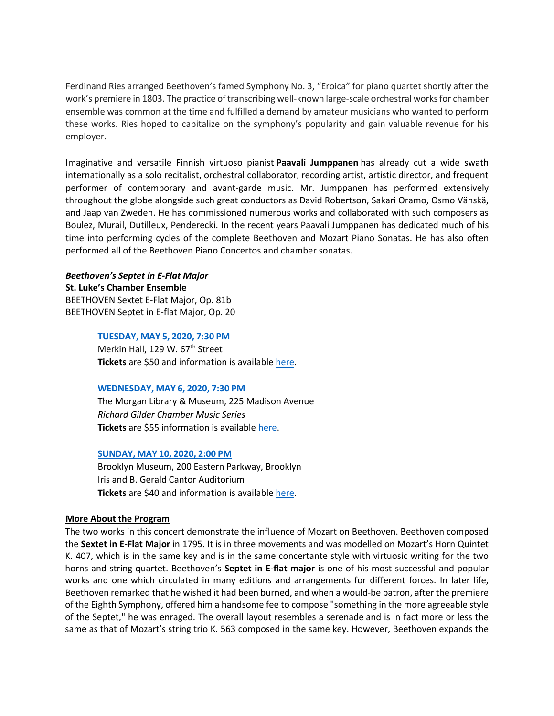Ferdinand Ries arranged Beethoven's famed Symphony No. 3, "Eroica" for piano quartet shortly after the work's premiere in 1803. The practice of transcribing well-known large-scale orchestral works for chamber ensemble was common at the time and fulfilled a demand by amateur musicians who wanted to perform these works. Ries hoped to capitalize on the symphony's popularity and gain valuable revenue for his employer.

Imaginative and versatile Finnish virtuoso pianist **Paavali Jumppanen** has already cut a wide swath internationally as a solo recitalist, orchestral collaborator, recording artist, artistic director, and frequent performer of contemporary and avant-garde music. Mr. Jumppanen has performed extensively throughout the globe alongside such great conductors as David Robertson, Sakari Oramo, Osmo Vänskä, and Jaap van Zweden. He has commissioned numerous works and collaborated with such composers as Boulez, Murail, Dutilleux, Penderecki. In the recent years Paavali Jumppanen has dedicated much of his time into performing cycles of the complete Beethoven and Mozart Piano Sonatas. He has also often performed all of the Beethoven Piano Concertos and chamber sonatas.

#### *Beethoven's Septet in E-Flat Major*

**St. Luke's Chamber Ensemble** BEETHOVEN Sextet E-Flat Major, Op. 81b BEETHOVEN Septet in E-flat Major, Op. 20

#### **TUESDAY, MAY 5, 2020, 7:30 PM**

Merkin Hall, 129 W. 67<sup>th</sup> Street **Tickets** are \$50 and information is available here.

#### **WEDNESDAY, MAY 6, 2020, 7:30 PM**

The Morgan Library & Museum, 225 Madison Avenue *Richard Gilder Chamber Music Series* **Tickets** are \$55 information is available here.

#### **SUNDAY, MAY 10, 2020, 2:00 PM**

Brooklyn Museum, 200 Eastern Parkway, Brooklyn Iris and B. Gerald Cantor Auditorium **Tickets** are \$40 and information is available here.

#### **More About the Program**

The two works in this concert demonstrate the influence of Mozart on Beethoven. Beethoven composed the **Sextet in E-Flat Major** in 1795. It is in three movements and was modelled on Mozart's Horn Quintet K. 407, which is in the same key and is in the same concertante style with virtuosic writing for the two horns and string quartet. Beethoven's **Septet in E-flat major** is one of his most successful and popular works and one which circulated in many editions and arrangements for different forces. In later life, Beethoven remarked that he wished it had been burned, and when a would-be patron, after the premiere of the Eighth Symphony, offered him a handsome fee to compose "something in the more agreeable style of the Septet," he was enraged. The overall layout resembles a serenade and is in fact more or less the same as that of Mozart's string trio K. 563 composed in the same key. However, Beethoven expands the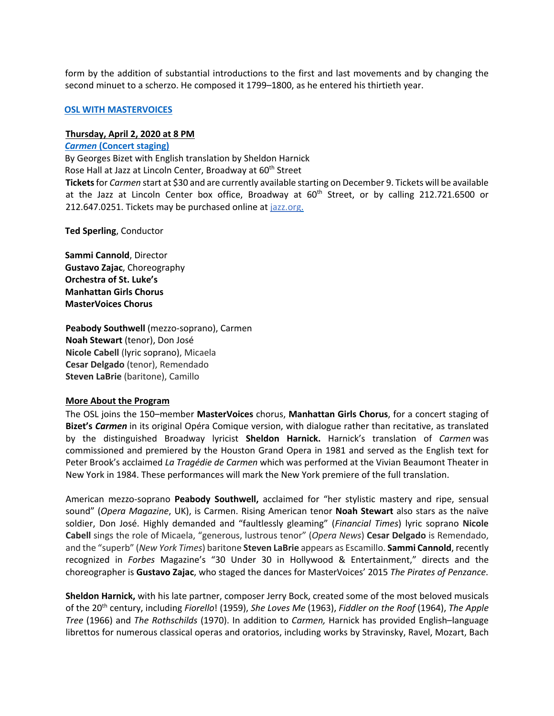form by the addition of substantial introductions to the first and last movements and by changing the second minuet to a scherzo. He composed it 1799–1800, as he entered his thirtieth year.

#### **OSL WITH MASTERVOICES**

#### **Thursday, April 2, 2020 at 8 PM**

#### *Carmen* **(Concert staging)**

By Georges Bizet with English translation by Sheldon Harnick

Rose Hall at Jazz at Lincoln Center, Broadway at 60<sup>th</sup> Street

**Tickets**for *Carmen* start at \$30 and are currently available starting on December 9. Tickets will be available at the Jazz at Lincoln Center box office, Broadway at 60<sup>th</sup> Street, or by calling 212.721.6500 or 212.647.0251. Tickets may be purchased online at jazz.org.

**Ted Sperling**, Conductor

**Sammi Cannold**, Director **Gustavo Zajac**, Choreography **Orchestra of St. Luke's Manhattan Girls Chorus MasterVoices Chorus**

**Peabody Southwell** (mezzo-soprano), Carmen **Noah Stewart** (tenor), Don José **Nicole Cabell** (lyric soprano), Micaela **Cesar Delgado** (tenor), Remendado **Steven LaBrie** (baritone), Camillo

#### **More About the Program**

The OSL joins the 150–member **MasterVoices** chorus, **Manhattan Girls Chorus**, for a concert staging of **Bizet's** *Carmen* in its original Opéra Comique version, with dialogue rather than recitative, as translated by the distinguished Broadway lyricist **Sheldon Harnick.** Harnick's translation of *Carmen* was commissioned and premiered by the Houston Grand Opera in 1981 and served as the English text for Peter Brook's acclaimed *La Tragédie de Carmen* which was performed at the Vivian Beaumont Theater in New York in 1984. These performances will mark the New York premiere of the full translation.

American mezzo-soprano **Peabody Southwell,** acclaimed for "her stylistic mastery and ripe, sensual sound" (*Opera Magazine*, UK), is Carmen. Rising American tenor **Noah Stewart** also stars as the naïve soldier, Don José. Highly demanded and "faultlessly gleaming" (*Financial Times*) lyric soprano **Nicole Cabell** sings the role of Micaela, "generous, lustrous tenor" (*Opera News*) **Cesar Delgado** is Remendado, and the "superb" (*New York Times*) baritone **Steven LaBrie** appears as Escamillo. **Sammi Cannold**, recently recognized in *Forbes* Magazine's "30 Under 30 in Hollywood & Entertainment," directs and the choreographer is **Gustavo Zajac**, who staged the dances for MasterVoices' 2015 *The Pirates of Penzance*.

**Sheldon Harnick,** with his late partner, composer Jerry Bock, created some of the most beloved musicals of the 20th century, including *Fiorello*! (1959), *She Loves Me* (1963), *Fiddler on the Roof* (1964), *The Apple Tree* (1966) and *The Rothschilds* (1970). In addition to *Carmen,* Harnick has provided English–language librettos for numerous classical operas and oratorios, including works by Stravinsky, Ravel, Mozart, Bach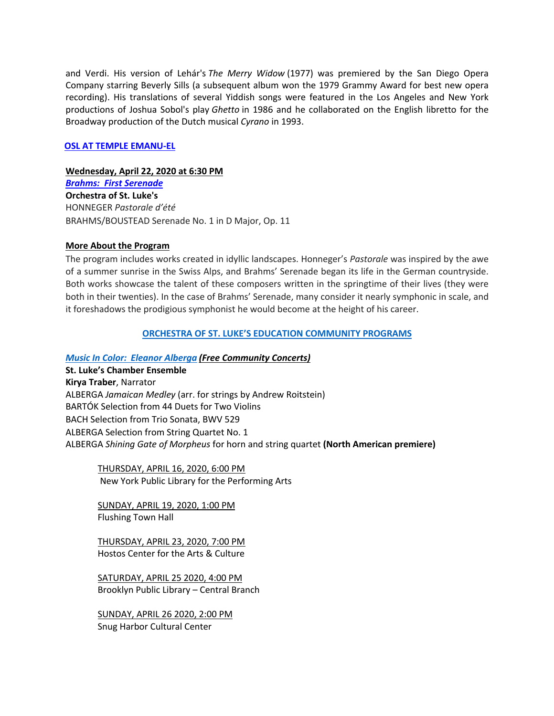and Verdi. His version of Lehár's *The Merry Widow* (1977) was premiered by the San Diego Opera Company starring Beverly Sills (a subsequent album won the 1979 Grammy Award for best new opera recording). His translations of several Yiddish songs were featured in the Los Angeles and New York productions of Joshua Sobol's play *Ghetto* in 1986 and he collaborated on the English libretto for the Broadway production of the Dutch musical *Cyrano* in 1993.

## **OSL AT TEMPLE EMANU-EL**

#### **Wednesday, April 22, 2020 at 6:30 PM**

*Brahms: First Serenade* **Orchestra of St. Luke's** HONNEGER *Pastorale d'été* BRAHMS/BOUSTEAD Serenade No. 1 in D Major, Op. 11

#### **More About the Program**

The program includes works created in idyllic landscapes. Honneger's *Pastorale* was inspired by the awe of a summer sunrise in the Swiss Alps, and Brahms' Serenade began its life in the German countryside. Both works showcase the talent of these composers written in the springtime of their lives (they were both in their twenties). In the case of Brahms' Serenade, many consider it nearly symphonic in scale, and it foreshadows the prodigious symphonist he would become at the height of his career.

#### **ORCHESTRA OF ST. LUKE'S EDUCATION COMMUNITY PROGRAMS**

### *Music In Color: Eleanor Alberga (Free Community Concerts)*

**St. Luke's Chamber Ensemble Kirya Traber**, Narrator ALBERGA *Jamaican Medley* (arr. for strings by Andrew Roitstein) BARTÓK Selection from 44 Duets for Two Violins BACH Selection from Trio Sonata, BWV 529 ALBERGA Selection from String Quartet No. 1 ALBERGA *Shining Gate of Morpheus* for horn and string quartet **(North American premiere)**

THURSDAY, APRIL 16, 2020, 6:00 PM New York Public Library for the Performing Arts

SUNDAY, APRIL 19, 2020, 1:00 PM Flushing Town Hall

THURSDAY, APRIL 23, 2020, 7:00 PM Hostos Center for the Arts & Culture

SATURDAY, APRIL 25 2020, 4:00 PM Brooklyn Public Library – Central Branch

SUNDAY, APRIL 26 2020, 2:00 PM Snug Harbor Cultural Center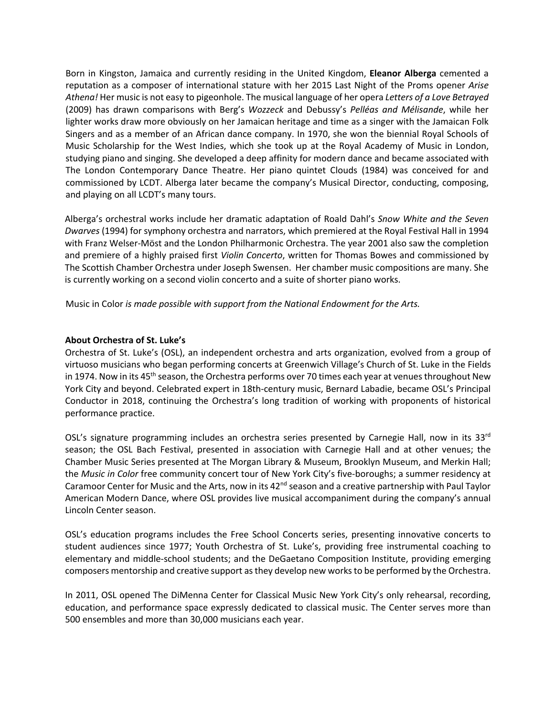Born in Kingston, Jamaica and currently residing in the United Kingdom, **Eleanor Alberga** cemented a reputation as a composer of international stature with her 2015 Last Night of the Proms opener *Arise Athena!* Her music is not easy to pigeonhole. The musical language of her opera *Letters of a Love Betrayed*  (2009) has drawn comparisons with Berg's *Wozzeck* and Debussy's *Pelléas and Mélisande*, while her lighter works draw more obviously on her Jamaican heritage and time as a singer with the Jamaican Folk Singers and as a member of an African dance company. In 1970, she won the biennial Royal Schools of Music Scholarship for the West Indies, which she took up at the Royal Academy of Music in London, studying piano and singing. She developed a deep affinity for modern dance and became associated with The London Contemporary Dance Theatre. Her piano quintet Clouds (1984) was conceived for and commissioned by LCDT. Alberga later became the company's Musical Director, conducting, composing, and playing on all LCDT's many tours.

Alberga's orchestral works include her dramatic adaptation of Roald Dahl's *Snow White and the Seven Dwarves* (1994) for symphony orchestra and narrators, which premiered at the Royal Festival Hall in 1994 with Franz Welser-Möst and the London Philharmonic Orchestra. The year 2001 also saw the completion and premiere of a highly praised first *Violin Concerto*, written for Thomas Bowes and commissioned by The Scottish Chamber Orchestra under Joseph Swensen. Her chamber music compositions are many. She is currently working on a second violin concerto and a suite of shorter piano works.

Music in Color *is made possible with support from the National Endowment for the Arts.* 

### **About Orchestra of St. Luke's**

Orchestra of St. Luke's (OSL), an independent orchestra and arts organization, evolved from a group of virtuoso musicians who began performing concerts at Greenwich Village's Church of St. Luke in the Fields in 1974. Now in its 45<sup>th</sup> season, the Orchestra performs over 70 times each year at venues throughout New York City and beyond. Celebrated expert in 18th-century music, Bernard Labadie, became OSL's Principal Conductor in 2018, continuing the Orchestra's long tradition of working with proponents of historical performance practice.

OSL's signature programming includes an orchestra series presented by Carnegie Hall, now in its 33<sup>rd</sup> season; the OSL Bach Festival, presented in association with Carnegie Hall and at other venues; the Chamber Music Series presented at The Morgan Library & Museum, Brooklyn Museum, and Merkin Hall; the *Music in Color* free community concert tour of New York City's five-boroughs; a summer residency at Caramoor Center for Music and the Arts, now in its 42<sup>nd</sup> season and a creative partnership with Paul Taylor American Modern Dance, where OSL provides live musical accompaniment during the company's annual Lincoln Center season.

OSL's education programs includes the Free School Concerts series, presenting innovative concerts to student audiences since 1977; Youth Orchestra of St. Luke's, providing free instrumental coaching to elementary and middle-school students; and the DeGaetano Composition Institute, providing emerging composers mentorship and creative support as they develop new works to be performed by the Orchestra.

In 2011, OSL opened The DiMenna Center for Classical Music New York City's only rehearsal, recording, education, and performance space expressly dedicated to classical music. The Center serves more than 500 ensembles and more than 30,000 musicians each year.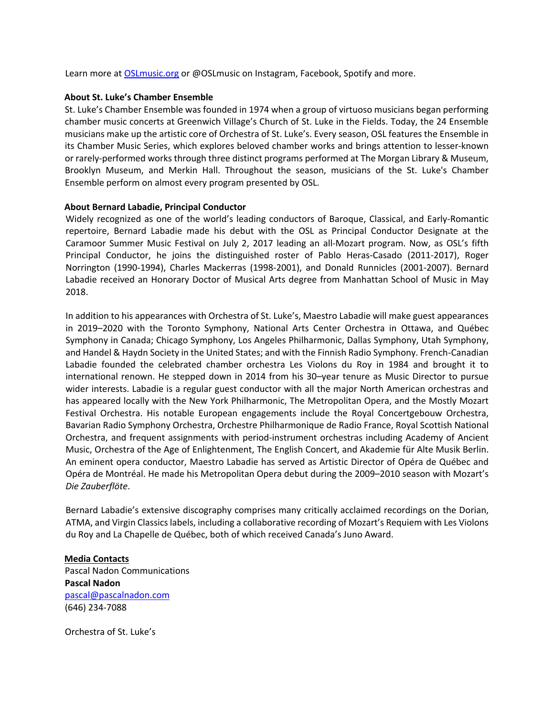Learn more at **OSLmusic.org** or @OSLmusic on Instagram, Facebook, Spotify and more.

### **About St. Luke's Chamber Ensemble**

St. Luke's Chamber Ensemble was founded in 1974 when a group of virtuoso musicians began performing chamber music concerts at Greenwich Village's Church of St. Luke in the Fields. Today, the 24 Ensemble musicians make up the artistic core of Orchestra of St. Luke's. Every season, OSL features the Ensemble in its Chamber Music Series, which explores beloved chamber works and brings attention to lesser-known or rarely-performed works through three distinct programs performed at The Morgan Library & Museum, Brooklyn Museum, and Merkin Hall. Throughout the season, musicians of the St. Luke's Chamber Ensemble perform on almost every program presented by OSL.

### **About Bernard Labadie, Principal Conductor**

Widely recognized as one of the world's leading conductors of Baroque, Classical, and Early-Romantic repertoire, Bernard Labadie made his debut with the OSL as Principal Conductor Designate at the Caramoor Summer Music Festival on July 2, 2017 leading an all-Mozart program. Now, as OSL's fifth Principal Conductor, he joins the distinguished roster of Pablo Heras-Casado (2011-2017), Roger Norrington (1990-1994), Charles Mackerras (1998-2001), and Donald Runnicles (2001-2007). Bernard Labadie received an Honorary Doctor of Musical Arts degree from Manhattan School of Music in May 2018.

In addition to his appearances with Orchestra of St. Luke's, Maestro Labadie will make guest appearances in 2019–2020 with the Toronto Symphony, National Arts Center Orchestra in Ottawa, and Québec Symphony in Canada; Chicago Symphony, Los Angeles Philharmonic, Dallas Symphony, Utah Symphony, and Handel & Haydn Society in the United States; and with the Finnish Radio Symphony. French-Canadian Labadie founded the celebrated chamber orchestra Les Violons du Roy in 1984 and brought it to international renown. He stepped down in 2014 from his 30–year tenure as Music Director to pursue wider interests. Labadie is a regular guest conductor with all the major North American orchestras and has appeared locally with the New York Philharmonic, The Metropolitan Opera, and the Mostly Mozart Festival Orchestra. His notable European engagements include the Royal Concertgebouw Orchestra, Bavarian Radio Symphony Orchestra, Orchestre Philharmonique de Radio France, Royal Scottish National Orchestra, and frequent assignments with period-instrument orchestras including Academy of Ancient Music, Orchestra of the Age of Enlightenment, The English Concert, and Akademie für Alte Musik Berlin. An eminent opera conductor, Maestro Labadie has served as Artistic Director of Opéra de Québec and Opéra de Montréal. He made his Metropolitan Opera debut during the 2009–2010 season with Mozart's *Die Zauberflöte*.

Bernard Labadie's extensive discography comprises many critically acclaimed recordings on the Dorian, ATMA, and Virgin Classics labels, including a collaborative recording of Mozart's Requiem with Les Violons du Roy and La Chapelle de Québec, both of which received Canada's Juno Award.

## **Media Contacts** Pascal Nadon Communications **Pascal Nadon**  pascal@pascalnadon.com (646) 234-7088

Orchestra of St. Luke's